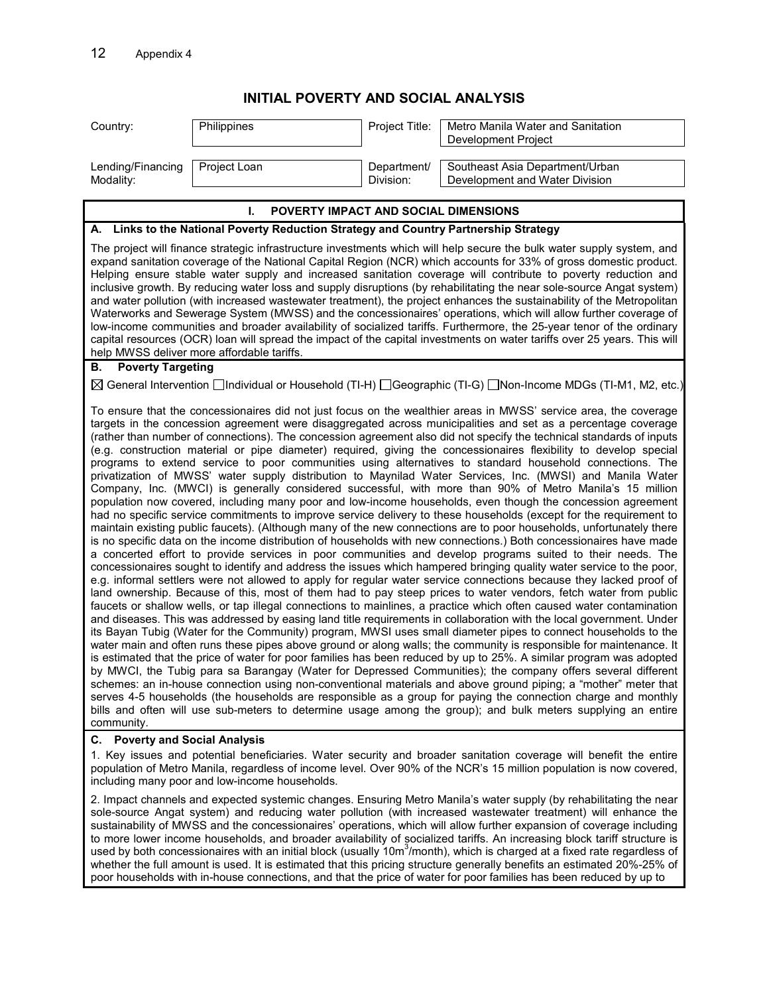## **INITIAL POVERTY AND SOCIAL ANALYSIS**

| Country:                                                                                                                                                                                                                                                                                                                                                                                                                                                                                                                                                                                                                                                                                                                                                                                                                                                                                                                                                                                                                                                                                                                                                                                                                                                                                                                                                                                                                                                                                                                                                                                                                                                                                                                                                                                                                                                                                                                                                                                                                                                                                                                                                                                                                                                                                                                                                                                                                                                                                                                                                                                                                                                                                                                                                                                                                                                                                | Philippines  | Project Title:           | Metro Manila Water and Sanitation                                 |  |
|-----------------------------------------------------------------------------------------------------------------------------------------------------------------------------------------------------------------------------------------------------------------------------------------------------------------------------------------------------------------------------------------------------------------------------------------------------------------------------------------------------------------------------------------------------------------------------------------------------------------------------------------------------------------------------------------------------------------------------------------------------------------------------------------------------------------------------------------------------------------------------------------------------------------------------------------------------------------------------------------------------------------------------------------------------------------------------------------------------------------------------------------------------------------------------------------------------------------------------------------------------------------------------------------------------------------------------------------------------------------------------------------------------------------------------------------------------------------------------------------------------------------------------------------------------------------------------------------------------------------------------------------------------------------------------------------------------------------------------------------------------------------------------------------------------------------------------------------------------------------------------------------------------------------------------------------------------------------------------------------------------------------------------------------------------------------------------------------------------------------------------------------------------------------------------------------------------------------------------------------------------------------------------------------------------------------------------------------------------------------------------------------------------------------------------------------------------------------------------------------------------------------------------------------------------------------------------------------------------------------------------------------------------------------------------------------------------------------------------------------------------------------------------------------------------------------------------------------------------------------------------------------|--------------|--------------------------|-------------------------------------------------------------------|--|
|                                                                                                                                                                                                                                                                                                                                                                                                                                                                                                                                                                                                                                                                                                                                                                                                                                                                                                                                                                                                                                                                                                                                                                                                                                                                                                                                                                                                                                                                                                                                                                                                                                                                                                                                                                                                                                                                                                                                                                                                                                                                                                                                                                                                                                                                                                                                                                                                                                                                                                                                                                                                                                                                                                                                                                                                                                                                                         |              |                          | Development Project                                               |  |
|                                                                                                                                                                                                                                                                                                                                                                                                                                                                                                                                                                                                                                                                                                                                                                                                                                                                                                                                                                                                                                                                                                                                                                                                                                                                                                                                                                                                                                                                                                                                                                                                                                                                                                                                                                                                                                                                                                                                                                                                                                                                                                                                                                                                                                                                                                                                                                                                                                                                                                                                                                                                                                                                                                                                                                                                                                                                                         |              |                          |                                                                   |  |
| Lending/Financing<br>Modality:                                                                                                                                                                                                                                                                                                                                                                                                                                                                                                                                                                                                                                                                                                                                                                                                                                                                                                                                                                                                                                                                                                                                                                                                                                                                                                                                                                                                                                                                                                                                                                                                                                                                                                                                                                                                                                                                                                                                                                                                                                                                                                                                                                                                                                                                                                                                                                                                                                                                                                                                                                                                                                                                                                                                                                                                                                                          | Project Loan | Department/<br>Division: | Southeast Asia Department/Urban<br>Development and Water Division |  |
|                                                                                                                                                                                                                                                                                                                                                                                                                                                                                                                                                                                                                                                                                                                                                                                                                                                                                                                                                                                                                                                                                                                                                                                                                                                                                                                                                                                                                                                                                                                                                                                                                                                                                                                                                                                                                                                                                                                                                                                                                                                                                                                                                                                                                                                                                                                                                                                                                                                                                                                                                                                                                                                                                                                                                                                                                                                                                         |              |                          |                                                                   |  |
| POVERTY IMPACT AND SOCIAL DIMENSIONS<br>L.                                                                                                                                                                                                                                                                                                                                                                                                                                                                                                                                                                                                                                                                                                                                                                                                                                                                                                                                                                                                                                                                                                                                                                                                                                                                                                                                                                                                                                                                                                                                                                                                                                                                                                                                                                                                                                                                                                                                                                                                                                                                                                                                                                                                                                                                                                                                                                                                                                                                                                                                                                                                                                                                                                                                                                                                                                              |              |                          |                                                                   |  |
| A. Links to the National Poverty Reduction Strategy and Country Partnership Strategy                                                                                                                                                                                                                                                                                                                                                                                                                                                                                                                                                                                                                                                                                                                                                                                                                                                                                                                                                                                                                                                                                                                                                                                                                                                                                                                                                                                                                                                                                                                                                                                                                                                                                                                                                                                                                                                                                                                                                                                                                                                                                                                                                                                                                                                                                                                                                                                                                                                                                                                                                                                                                                                                                                                                                                                                    |              |                          |                                                                   |  |
| The project will finance strategic infrastructure investments which will help secure the bulk water supply system, and<br>expand sanitation coverage of the National Capital Region (NCR) which accounts for 33% of gross domestic product.<br>Helping ensure stable water supply and increased sanitation coverage will contribute to poverty reduction and<br>inclusive growth. By reducing water loss and supply disruptions (by rehabilitating the near sole-source Angat system)<br>and water pollution (with increased wastewater treatment), the project enhances the sustainability of the Metropolitan<br>Waterworks and Sewerage System (MWSS) and the concessionaires' operations, which will allow further coverage of<br>low-income communities and broader availability of socialized tariffs. Furthermore, the 25-year tenor of the ordinary<br>capital resources (OCR) loan will spread the impact of the capital investments on water tariffs over 25 years. This will<br>help MWSS deliver more affordable tariffs.                                                                                                                                                                                                                                                                                                                                                                                                                                                                                                                                                                                                                                                                                                                                                                                                                                                                                                                                                                                                                                                                                                                                                                                                                                                                                                                                                                                                                                                                                                                                                                                                                                                                                                                                                                                                                                                   |              |                          |                                                                   |  |
| <b>Poverty Targeting</b><br>В.                                                                                                                                                                                                                                                                                                                                                                                                                                                                                                                                                                                                                                                                                                                                                                                                                                                                                                                                                                                                                                                                                                                                                                                                                                                                                                                                                                                                                                                                                                                                                                                                                                                                                                                                                                                                                                                                                                                                                                                                                                                                                                                                                                                                                                                                                                                                                                                                                                                                                                                                                                                                                                                                                                                                                                                                                                                          |              |                          |                                                                   |  |
| ⊠ General Intervention □Individual or Household (TI-H) □Geographic (TI-G) □Non-Income MDGs (TI-M1, M2, etc.)                                                                                                                                                                                                                                                                                                                                                                                                                                                                                                                                                                                                                                                                                                                                                                                                                                                                                                                                                                                                                                                                                                                                                                                                                                                                                                                                                                                                                                                                                                                                                                                                                                                                                                                                                                                                                                                                                                                                                                                                                                                                                                                                                                                                                                                                                                                                                                                                                                                                                                                                                                                                                                                                                                                                                                            |              |                          |                                                                   |  |
| To ensure that the concessionaires did not just focus on the wealthier areas in MWSS' service area, the coverage<br>targets in the concession agreement were disaggregated across municipalities and set as a percentage coverage<br>(rather than number of connections). The concession agreement also did not specify the technical standards of inputs<br>(e.g. construction material or pipe diameter) required, giving the concessionaires flexibility to develop special<br>programs to extend service to poor communities using alternatives to standard household connections. The<br>privatization of MWSS' water supply distribution to Maynilad Water Services, Inc. (MWSI) and Manila Water<br>Company, Inc. (MWCI) is generally considered successful, with more than 90% of Metro Manila's 15 million<br>population now covered, including many poor and low-income households, even though the concession agreement<br>had no specific service commitments to improve service delivery to these households (except for the requirement to<br>maintain existing public faucets). (Although many of the new connections are to poor households, unfortunately there<br>is no specific data on the income distribution of households with new connections.) Both concessionaires have made<br>a concerted effort to provide services in poor communities and develop programs suited to their needs. The<br>concessionaires sought to identify and address the issues which hampered bringing quality water service to the poor,<br>e.g. informal settlers were not allowed to apply for regular water service connections because they lacked proof of<br>land ownership. Because of this, most of them had to pay steep prices to water vendors, fetch water from public<br>faucets or shallow wells, or tap illegal connections to mainlines, a practice which often caused water contamination<br>and diseases. This was addressed by easing land title requirements in collaboration with the local government. Under<br>its Bayan Tubig (Water for the Community) program, MWSI uses small diameter pipes to connect households to the<br>water main and often runs these pipes above ground or along walls; the community is responsible for maintenance. It<br>is estimated that the price of water for poor families has been reduced by up to 25%. A similar program was adopted<br>by MWCI, the Tubig para sa Barangay (Water for Depressed Communities); the company offers several different<br>schemes: an in-house connection using non-conventional materials and above ground piping; a "mother" meter that<br>serves 4-5 households (the households are responsible as a group for paying the connection charge and monthly<br>bills and often will use sub-meters to determine usage among the group); and bulk meters supplying an entire<br>community. |              |                          |                                                                   |  |
| C. Poverty and Social Analysis                                                                                                                                                                                                                                                                                                                                                                                                                                                                                                                                                                                                                                                                                                                                                                                                                                                                                                                                                                                                                                                                                                                                                                                                                                                                                                                                                                                                                                                                                                                                                                                                                                                                                                                                                                                                                                                                                                                                                                                                                                                                                                                                                                                                                                                                                                                                                                                                                                                                                                                                                                                                                                                                                                                                                                                                                                                          |              |                          |                                                                   |  |
| 1. Key issues and potential beneficiaries. Water security and broader sanitation coverage will benefit the entire<br>population of Metro Manila, regardless of income level. Over 90% of the NCR's 15 million population is now covered,<br>including many poor and low-income households.                                                                                                                                                                                                                                                                                                                                                                                                                                                                                                                                                                                                                                                                                                                                                                                                                                                                                                                                                                                                                                                                                                                                                                                                                                                                                                                                                                                                                                                                                                                                                                                                                                                                                                                                                                                                                                                                                                                                                                                                                                                                                                                                                                                                                                                                                                                                                                                                                                                                                                                                                                                              |              |                          |                                                                   |  |
| 2. Impact channels and expected systemic changes. Ensuring Metro Manila's water supply (by rehabilitating the near                                                                                                                                                                                                                                                                                                                                                                                                                                                                                                                                                                                                                                                                                                                                                                                                                                                                                                                                                                                                                                                                                                                                                                                                                                                                                                                                                                                                                                                                                                                                                                                                                                                                                                                                                                                                                                                                                                                                                                                                                                                                                                                                                                                                                                                                                                                                                                                                                                                                                                                                                                                                                                                                                                                                                                      |              |                          |                                                                   |  |

sole-source Angat system) and reducing water pollution (with increased wastewater treatment) will enhance the sustainability of MWSS and the concessionaires' operations, which will allow further expansion of coverage including to more lower income households, and broader availability of socialized tariffs. An increasing block tariff structure is used by both concessionaires with an initial block (usually 10m<sup>3</sup>/month), which is charged at a fixed rate regardless of whether the full amount is used. It is estimated that this pricing structure generally benefits an estimated 20%-25% of poor households with in-house connections, and that the price of water for poor families has been reduced by up to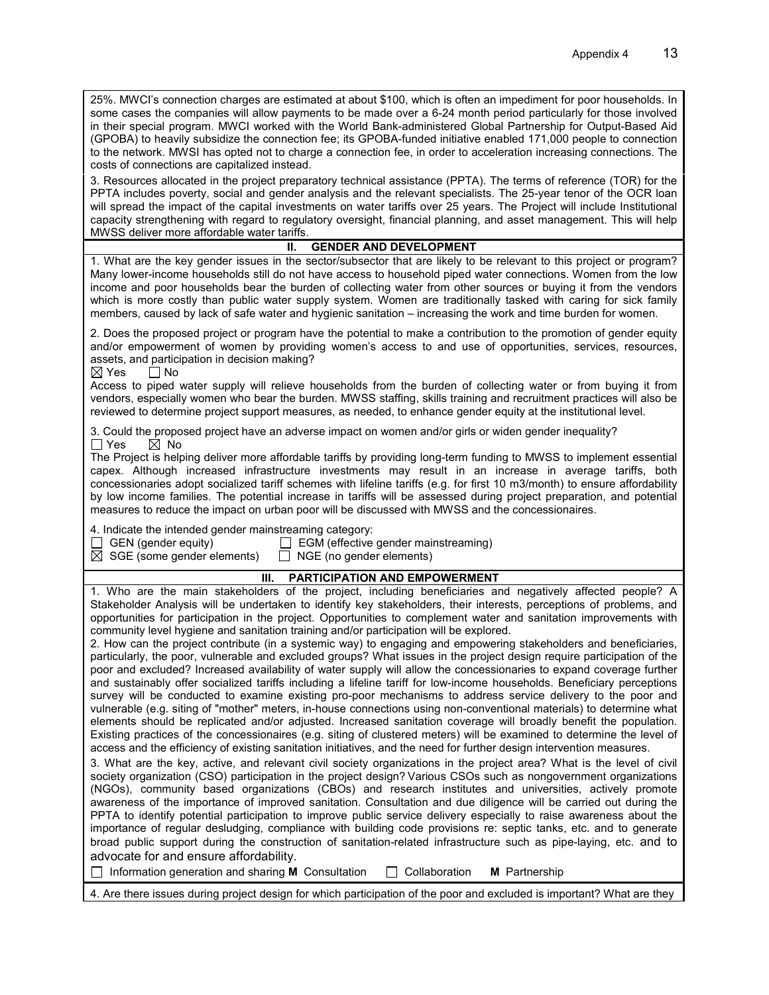| 25%. MWCI's connection charges are estimated at about \$100, which is often an impediment for poor households. In<br>some cases the companies will allow payments to be made over a 6-24 month period particularly for those involved<br>in their special program. MWCI worked with the World Bank-administered Global Partnership for Output-Based Aid<br>(GPOBA) to heavily subsidize the connection fee; its GPOBA-funded initiative enabled 171,000 people to connection<br>to the network. MWSI has opted not to charge a connection fee, in order to acceleration increasing connections. The<br>costs of connections are capitalized instead.                                                                                                                                                                                                                                                                                                                                                                                                                                                        |  |  |  |  |
|-------------------------------------------------------------------------------------------------------------------------------------------------------------------------------------------------------------------------------------------------------------------------------------------------------------------------------------------------------------------------------------------------------------------------------------------------------------------------------------------------------------------------------------------------------------------------------------------------------------------------------------------------------------------------------------------------------------------------------------------------------------------------------------------------------------------------------------------------------------------------------------------------------------------------------------------------------------------------------------------------------------------------------------------------------------------------------------------------------------|--|--|--|--|
| 3. Resources allocated in the project preparatory technical assistance (PPTA). The terms of reference (TOR) for the<br>PPTA includes poverty, social and gender analysis and the relevant specialists. The 25-year tenor of the OCR loan<br>will spread the impact of the capital investments on water tariffs over 25 years. The Project will include Institutional<br>capacity strengthening with regard to regulatory oversight, financial planning, and asset management. This will help<br>MWSS deliver more affordable water tariffs.                                                                                                                                                                                                                                                                                                                                                                                                                                                                                                                                                                 |  |  |  |  |
| <b>GENDER AND DEVELOPMENT</b><br>Ш.                                                                                                                                                                                                                                                                                                                                                                                                                                                                                                                                                                                                                                                                                                                                                                                                                                                                                                                                                                                                                                                                         |  |  |  |  |
| 1. What are the key gender issues in the sector/subsector that are likely to be relevant to this project or program?<br>Many lower-income households still do not have access to household piped water connections. Women from the low<br>income and poor households bear the burden of collecting water from other sources or buying it from the vendors<br>which is more costly than public water supply system. Women are traditionally tasked with caring for sick family<br>members, caused by lack of safe water and hygienic sanitation – increasing the work and time burden for women.                                                                                                                                                                                                                                                                                                                                                                                                                                                                                                             |  |  |  |  |
| 2. Does the proposed project or program have the potential to make a contribution to the promotion of gender equity<br>and/or empowerment of women by providing women's access to and use of opportunities, services, resources,<br>assets, and participation in decision making?<br>$\boxtimes$ Yes<br>$\Box$ No                                                                                                                                                                                                                                                                                                                                                                                                                                                                                                                                                                                                                                                                                                                                                                                           |  |  |  |  |
| Access to piped water supply will relieve households from the burden of collecting water or from buying it from<br>vendors, especially women who bear the burden. MWSS staffing, skills training and recruitment practices will also be<br>reviewed to determine project support measures, as needed, to enhance gender equity at the institutional level.                                                                                                                                                                                                                                                                                                                                                                                                                                                                                                                                                                                                                                                                                                                                                  |  |  |  |  |
| 3. Could the proposed project have an adverse impact on women and/or girls or widen gender inequality?<br>$\Box$ Yes<br>$\boxtimes$ No                                                                                                                                                                                                                                                                                                                                                                                                                                                                                                                                                                                                                                                                                                                                                                                                                                                                                                                                                                      |  |  |  |  |
| The Project is helping deliver more affordable tariffs by providing long-term funding to MWSS to implement essential<br>capex. Although increased infrastructure investments may result in an increase in average tariffs, both<br>concessionaries adopt socialized tariff schemes with lifeline tariffs (e.g. for first 10 m3/month) to ensure affordability<br>by low income families. The potential increase in tariffs will be assessed during project preparation, and potential<br>measures to reduce the impact on urban poor will be discussed with MWSS and the concessionaires.                                                                                                                                                                                                                                                                                                                                                                                                                                                                                                                   |  |  |  |  |
| 4. Indicate the intended gender mainstreaming category:<br>$\Box$ GEN (gender equity)<br>EGM (effective gender mainstreaming)<br>$\boxtimes$ SGE (some gender elements) $\Box$ NGE (no gender elements)                                                                                                                                                                                                                                                                                                                                                                                                                                                                                                                                                                                                                                                                                                                                                                                                                                                                                                     |  |  |  |  |
| PARTICIPATION AND EMPOWERMENT<br>Ш.                                                                                                                                                                                                                                                                                                                                                                                                                                                                                                                                                                                                                                                                                                                                                                                                                                                                                                                                                                                                                                                                         |  |  |  |  |
| 1. Who are the main stakeholders of the project, including beneficiaries and negatively affected people? A<br>Stakeholder Analysis will be undertaken to identify key stakeholders, their interests, perceptions of problems, and<br>opportunities for participation in the project. Opportunities to complement water and sanitation improvements with<br>community level hygiene and sanitation training and/or participation will be explored.                                                                                                                                                                                                                                                                                                                                                                                                                                                                                                                                                                                                                                                           |  |  |  |  |
| 2. How can the project contribute (in a systemic way) to engaging and empowering stakeholders and beneficiaries,<br>particularly, the poor, vulnerable and excluded groups? What issues in the project design require participation of the<br>poor and excluded? Increased availability of water supply will allow the concessionaries to expand coverage further<br>and sustainably offer socialized tariffs including a lifeline tariff for low-income households. Beneficiary perceptions<br>survey will be conducted to examine existing pro-poor mechanisms to address service delivery to the poor and<br>vulnerable (e.g. siting of "mother" meters, in-house connections using non-conventional materials) to determine what<br>elements should be replicated and/or adjusted. Increased sanitation coverage will broadly benefit the population.<br>Existing practices of the concessionaires (e.g. siting of clustered meters) will be examined to determine the level of<br>access and the efficiency of existing sanitation initiatives, and the need for further design intervention measures. |  |  |  |  |
| 3. What are the key, active, and relevant civil society organizations in the project area? What is the level of civil<br>society organization (CSO) participation in the project design? Various CSOs such as nongovernment organizations<br>(NGOs), community based organizations (CBOs) and research institutes and universities, actively promote<br>awareness of the importance of improved sanitation. Consultation and due diligence will be carried out during the<br>PPTA to identify potential participation to improve public service delivery especially to raise awareness about the<br>importance of regular desludging, compliance with building code provisions re: septic tanks, etc. and to generate<br>broad public support during the construction of sanitation-related infrastructure such as pipe-laying, etc. and to<br>advocate for and ensure affordability.                                                                                                                                                                                                                       |  |  |  |  |
| Collaboration<br>Information generation and sharing M Consultation<br>M Partnership<br>4. Are there issues during project design for which participation of the poor and excluded is important? What are they                                                                                                                                                                                                                                                                                                                                                                                                                                                                                                                                                                                                                                                                                                                                                                                                                                                                                               |  |  |  |  |
|                                                                                                                                                                                                                                                                                                                                                                                                                                                                                                                                                                                                                                                                                                                                                                                                                                                                                                                                                                                                                                                                                                             |  |  |  |  |